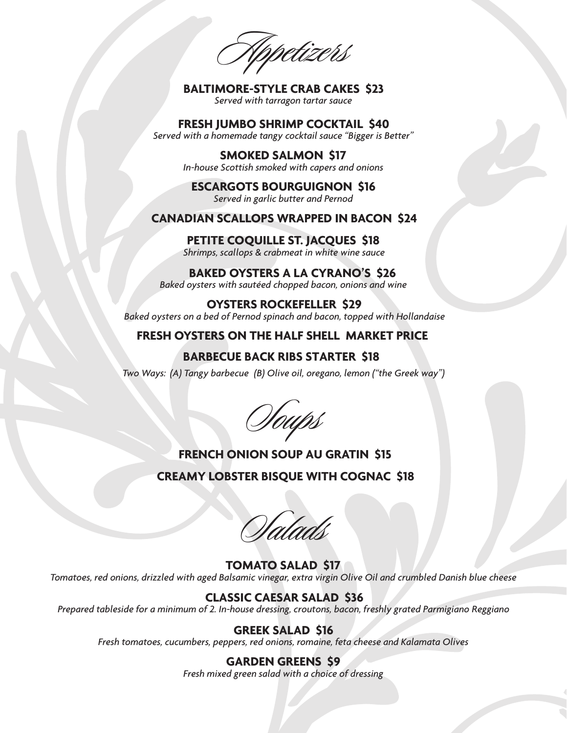Appetizers

**BALTIMORE-STYLE CRAB CAKES \$23** *Served with tarragon tartar sauce* 

**FRESH JUMBO SHRIMP COCKTAIL \$40** *Served with a homemade tangy cocktail sauce "Bigger is Better"* 

> **SMOKED SALMON \$17** *In-house Scottish smoked with capers and onions*

**ESCARGOTS BOURGUIGNON \$16** *Served in garlic butter and Pernod*

### **CANADIAN SCALLOPS WRAPPED IN BACON \$24**

#### **PETITE COQUILLE ST. JACQUES \$18**

*Shrimps, scallops & crabmeat in white wine sauce*

**BAKED OYSTERS A LA CYRANO'S \$26**  *Baked oysters with sautéed chopped bacon, onions and wine* 

**OYSTERS ROCKEFELLER \$29** *Baked oysters on a bed of Pernod spinach and bacon, topped with Hollandaise*

**FRESH OYSTERS ON THE HALF SHELL M ARKET PRICE** 

## **BARBECUE BACK RIBS STARTER \$18**

*Two Ways: (A) Tangy barbecue (B) Olive oil, oregano, lemon ("the Greek way")*

Soups

# **FRENCH ONION SOUP AU GRATIN \$15**

**CREAMY LOBSTER BISQUE WITH COGNAC \$18**

Salads

**TOMATO SALAD \$17** *Tomatoes, red onions, drizzled with aged Balsamic vinegar, extra virgin Olive Oil and crumbled Danish blue cheese* 

### **CLASSIC CAESAR SALAD \$36**

*Prepared tableside for a minimum of 2. In-house dressing, croutons, bacon, freshly grated Parmigiano Reggiano* 

## **GREEK SALAD \$16**

*Fresh tomatoes, cucumbers, peppers, red onions, romaine, feta cheese and Kalamata Olives*

**GARDEN GREENS \$9** *Fresh mixed green salad with a choice of dressing*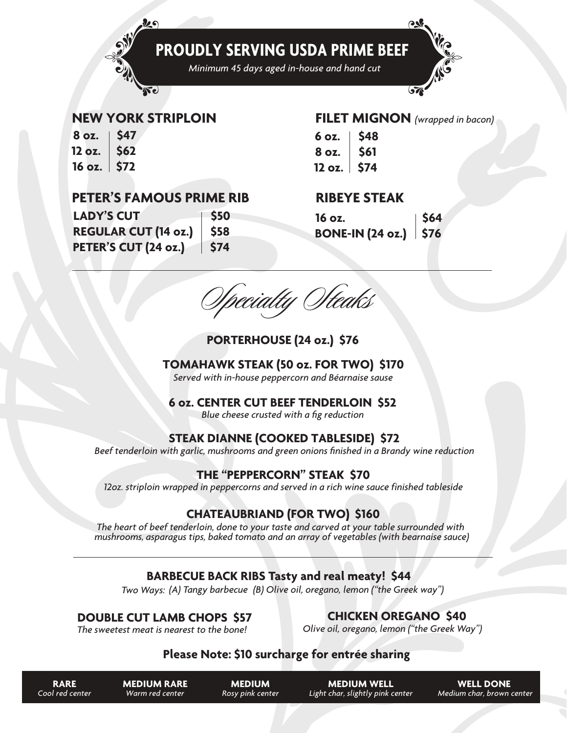

*Minimum 45 days aged in-house and hand cut*

### **NEW YORK STRIPLOIN**

 $\boldsymbol{\nu}$ 

| 8 oz.                    | <b>S47</b> |
|--------------------------|------------|
| 12 oz.                   | <b>S62</b> |
| 16 oz.<br>$\mathbf \Phi$ | <b>S72</b> |

## **PETER'S FAMOUS PRIME RIB**

**LADY'S CUT** \$50 **REGULAR CUT (14 oz.) \$58 PETER'S CUT (24 oz.) \$74**

## **FILET MIGNON** *(wrapped in bacon)*

 $\rightarrow$ 

 $\overline{\mathcal{S}}$ 

 $6$  oz.  $\frac{1}{2}$  \$48  $8$  oz.  $\frac{1}{2}$  \$61 **12 oz. \$74**

## **RIBEYE STEAK**

| 16 oz.<br>BONE-IN (24 oz.)   \$76 |  |
|-----------------------------------|--|
|                                   |  |

Specialty Steaks

## **PORTERHOUSE (24 oz.) \$76**

### **TOMAHAWK STEAK (50 oz. FOR TWO) \$170**

*Served with in-house peppercorn and Béarnaise sause*

### **6 oz. CENTER CUT BEEF TENDERLOIN \$52**

*Blue cheese crusted with a fig reduction*

## **STEAK DIANNE (COOKED TABLESIDE) \$72**

*Beef tenderloin with garlic, mushrooms and green onions finished in a Brandy wine reduction*

### **THE "PEPPERCORN" STEAK \$70**

*12oz. striploin wrapped in peppercorns and served in a rich wine sauce finished tableside*

## **CHATEAUBRIAND (FOR TWO) \$160**

*The heart of beef tenderloin, done to your taste and carved at your table surrounded with mushrooms, asparagus tips, baked tomato and an array of vegetables (with bearnaise sauce)*

## **BARBECUE BACK RIBS Tasty and real meaty! \$44**

*Two Ways: (A) Tangy barbecue (B) Olive oil, oregano, lemon ("the Greek way")*

## **DOUBLE CUT LAMB CHOPS \$57**

**CHICKEN OREGANO \$40**

*The sweetest meat is nearest to the bone!*

*Olive oil, oregano, lemon ("the Greek Way")*

## **Please Note: \$10 surcharge for entrée sharing**

| <b>RARE</b> |  |                 |
|-------------|--|-----------------|
|             |  | Cool red center |

**MEDIUM WELL** *Light char, slightly pink center*

**WELL DONE**  *Medium char, brown center*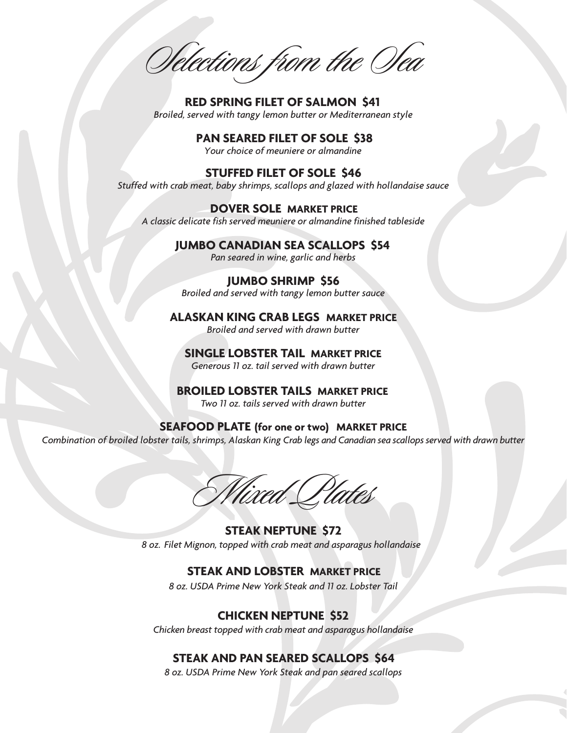Selections from the Sea

**RED SPRING FILET OF SALMON \$41** *Broiled, served with tangy lemon butter or Mediterranean style*

*Your choice of meuniere or almandine* **PAN SEARED FILET OF SOLE \$38**

**STUFFED FILET OF SOLE \$46** *Stuffed with crab meat, baby shrimps, scallops and glazed with hollandaise sauce*

*A classic delicate fish served meuniere or almandine finished tableside* **DOVER SOLE MARKET PRICE**

#### **JUMBO CANADIAN SEA SCALLOPS \$54**

*Pan seared in wine, garlic and herbs*

#### **JUMBO SHRIMP \$56**

*Broiled and served with tangy lemon butter sauce*

## **ALASKAN KING CRAB LEGS MARKET PRICE**

*Broiled and served with drawn butter*

## **SINGLE LOBSTER TAIL MARKET PRICE**

*Generous 11 oz. tail served with drawn butter*

**BROILED LOBSTER TAILS MARKET PRICE** *Two 11 oz. tails served with drawn butter*

**SEAFOOD PLATE (for one or two) MARKET PRICE** Combination of broiled lobster tails, shrimps, Alaskan King Crab legs and Canadian sea scallops served with drawn butter

Mixed Plates

**STEAK NEPTUNE \$72** *8 oz. Filet Mignon, topped with crab meat and asparagus hollandaise*

### **STEAK AND LOBSTER MARKET PRICE**

*8 oz. USDA Prime New York Steak and 11 oz. Lobster Tail*

## **CHICKEN NEPTUNE \$52**

*Chicken breast topped with crab meat and asparagus hollandaise*

### **STEAK AND PAN SEARED SCALLOPS \$64**

*8 oz. USDA Prime New York Steak and pan seared scallops*